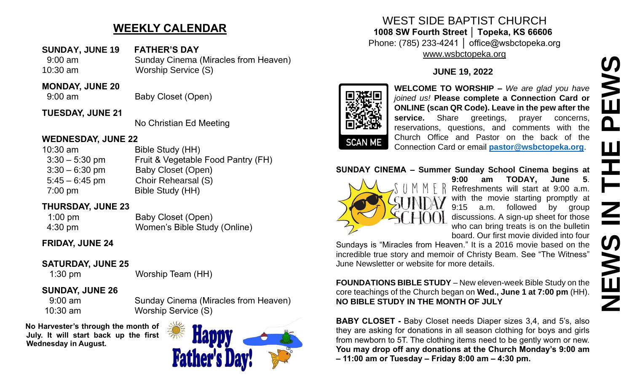# **WEEKLY CALENDAR**

**SUNDAY, JUNE 19 FATHER'S DAY** 9:00 am Sunday Cinema (Miracles from Heaven) 10:30 am Worship Service (S)

#### **MONDAY, JUNE 20**

9:00 am Baby Closet (Open)

### **TUESDAY, JUNE 21**

No Christian Ed Meeting

### **WEDNESDAY, JUNE 22**

| $10:30$ am        | Bible Study (HH)                   |
|-------------------|------------------------------------|
| $3:30 - 5:30$ pm  | Fruit & Vegetable Food Pantry (FH) |
| $3:30 - 6:30$ pm  | Baby Closet (Open)                 |
| $5:45 - 6:45$ pm  | Choir Rehearsal (S)                |
| $7:00 \text{ pm}$ | Bible Study (HH)                   |
|                   |                                    |

## **THURSDAY, JUNE 23**

1:00 pm Baby Closet (Open) 4:30 pm Women's Bible Study (Online)

# **FRIDAY, JUNE 24**

# **SATURDAY, JUNE 25**

1:30 pm Worship Team (HH)

# **SUNDAY, JUNE 26**

 9:00 am Sunday Cinema (Miracles from Heaven) 10:30 am Worship Service (S)

**No Harvester's through the month of July. It will start back up the first Wednesday in August.**



# WEST SIDE BAPTIST CHURCH **1008 SW Fourth Street │ Topeka, KS 66606**

Phone: (785) 233-4241 │ office@wsbctopeka.org [www.wsbctopeka.org](http://www.wsbctopeka.org/)

# **JUNE 19, 2022**



**WELCOME TO WORSHIP –** *We are glad you have joined us!* **Please complete a Connection Card or ONLINE (scan QR Code). Leave in the pew after the**  service. Share greetings, prayer concerns, reservations, questions, and comments with the Church Office and Pastor on the back of the Connection Card or email **[pastor@wsbctopeka.org](mailto:pastor@wsbctopeka.org)**. WELCOME TO WORSHIP – We are glad you have<br>
younger a skin to the USA of the Connection Card of<br>
Younger School Please complete a Connection Card of<br>
School Cheme (scan QR Code), Leave in the pew after the<br>
reservations, qu

### **SUNDAY CINEMA – Summer Sunday School Cinema begins at**



**9:00 am TODAY, June 5**. Refreshments will start at 9:00 a.m. with the movie starting promptly at 9:15 a.m. followed by group discussions. A sign-up sheet for those who can bring treats is on the bulletin board. Our first movie divided into four

Sundays is "Miracles from Heaven." It is a 2016 movie based on the incredible true story and memoir of Christy Beam. See "The Witness" June Newsletter or website for more details.

**FOUNDATIONS BIBLE STUDY** – New eleven-week Bible Study on the core teachings of the Church began on **Wed., June 1 at 7:00 pm** (HH). **NO BIBLE STUDY IN THE MONTH OF JULY**

**BABY CLOSET -** Baby Closet needs Diaper sizes 3,4, and 5's, also they are asking for donations in all season clothing for boys and girls from newborn to 5T. The clothing items need to be gently worn or new. **You may drop off any donations at the Church Monday's 9:00 am – 11:00 am or Tuesday – Friday 8:00 am – 4:30 pm.**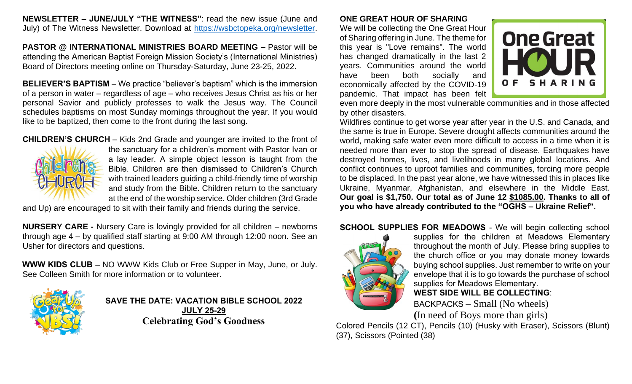**NEWSLETTER – JUNE/JULY "THE WITNESS"**: read the new issue (June and July) of The Witness Newsletter. Download at [https://wsbctopeka.org/newsletter.](https://wsbctopeka.org/newsletter)

**PASTOR @ INTERNATIONAL MINISTRIES BOARD MEETING –** Pastor will be attending the American Baptist Foreign Mission Society's (International Ministries) Board of Directors meeting online on Thursday-Saturday, June 23-25, 2022.

**BELIEVER'S BAPTISM** – We practice "believer's baptism" which is the immersion of a person in water – regardless of age – who receives Jesus Christ as his or her personal Savior and publicly professes to walk the Jesus way. The Council schedules baptisms on most Sunday mornings throughout the year. If you would like to be baptized, then come to the front during the last song.

**CHILDREN'S CHURCH** – Kids 2nd Grade and younger are invited to the front of



the sanctuary for a children's moment with Pastor Ivan or a lay leader. A simple object lesson is taught from the Bible. Children are then dismissed to Children's Church with trained leaders guiding a child-friendly time of worship and study from the Bible. Children return to the sanctuary at the end of the worship service. Older children (3rd Grade

and Up) are encouraged to sit with their family and friends during the service.

**NURSERY CARE -** Nursery Care is lovingly provided for all children – newborns through age 4 – by qualified staff starting at 9:00 AM through 12:00 noon. See an Usher for directors and questions.

**WWW KIDS CLUB –** NO WWW Kids Club or Free Supper in May, June, or July. See Colleen Smith for more information or to volunteer.



**SAVE THE DATE: VACATION BIBLE SCHOOL 2022 JULY 25-29 Celebrating God's Goodness**

### **ONE GREAT HOUR OF SHARING**

We will be collecting the One Great Hour of Sharing offering in June. The theme for this year is "Love remains". The world has changed dramatically in the last 2 years. Communities around the world have been both socially and economically affected by the COVID-19 pandemic. That impact has been felt



even more deeply in the most vulnerable communities and in those affected by other disasters.

Wildfires continue to get worse year after year in the U.S. and Canada, and the same is true in Europe. Severe drought affects communities around the world, making safe water even more difficult to access in a time when it is needed more than ever to stop the spread of disease. Earthquakes have destroyed homes, lives, and livelihoods in many global locations. And conflict continues to uproot families and communities, forcing more people to be displaced. In the past year alone, we have witnessed this in places like Ukraine, Myanmar, Afghanistan, and elsewhere in the Middle East. **Our goal is \$1,750. Our total as of June 12 \$1085.00. Thanks to all of you who have already contributed to the "OGHS – Ukraine Relief".**

### **SCHOOL SUPPLIES FOR MEADOWS** - We will begin collecting school



supplies for the children at Meadows Elementary throughout the month of July. Please bring supplies to the church office or you may donate money towards buying school supplies. Just remember to write on your envelope that it is to go towards the purchase of school supplies for Meadows Elementary.

### **WEST SIDE WILL BE COLLECTING**:

BACKPACKS – Small (No wheels) **(**In need of Boys more than girls)

Colored Pencils (12 CT), Pencils (10) (Husky with Eraser), Scissors (Blunt) (37), Scissors (Pointed (38)